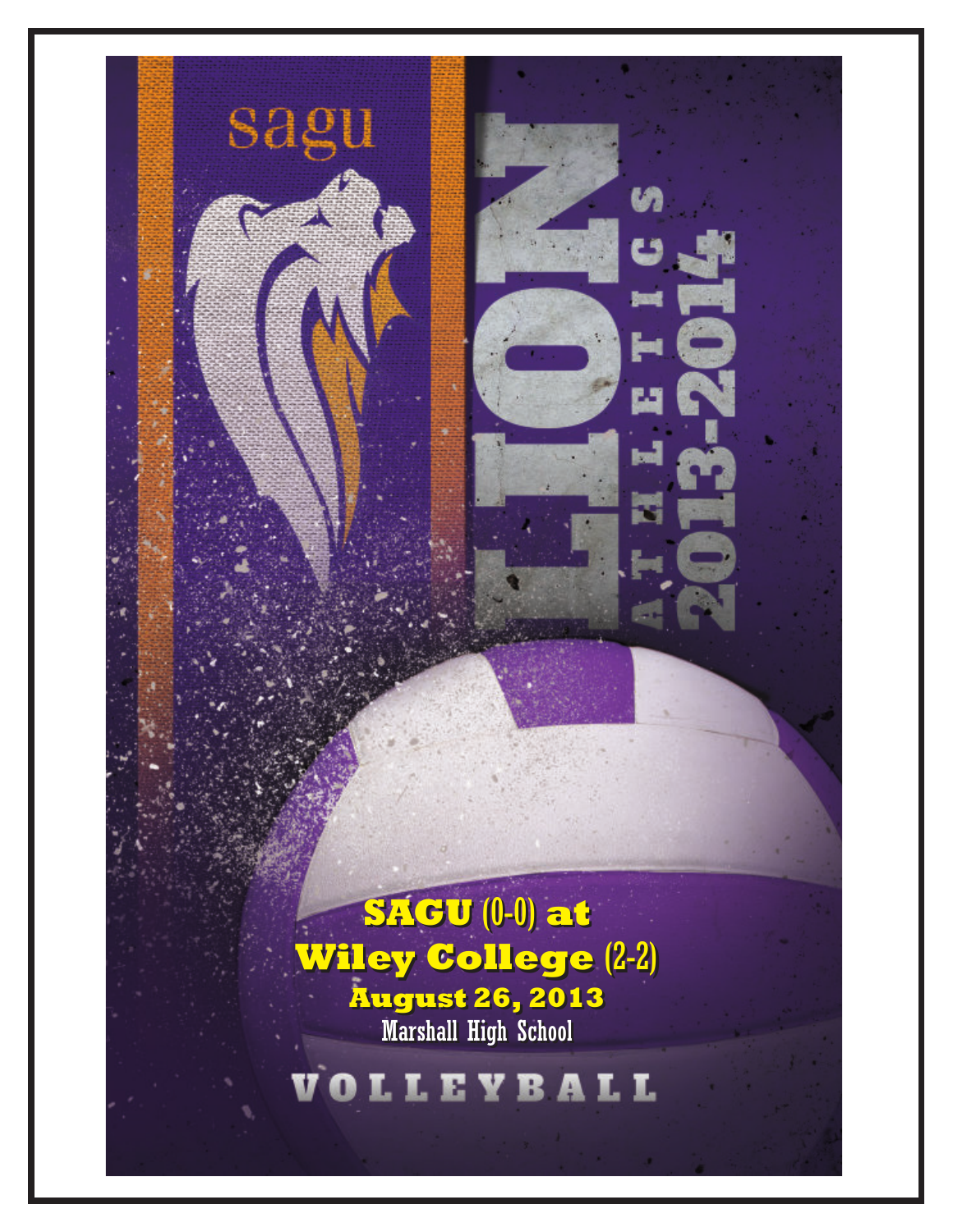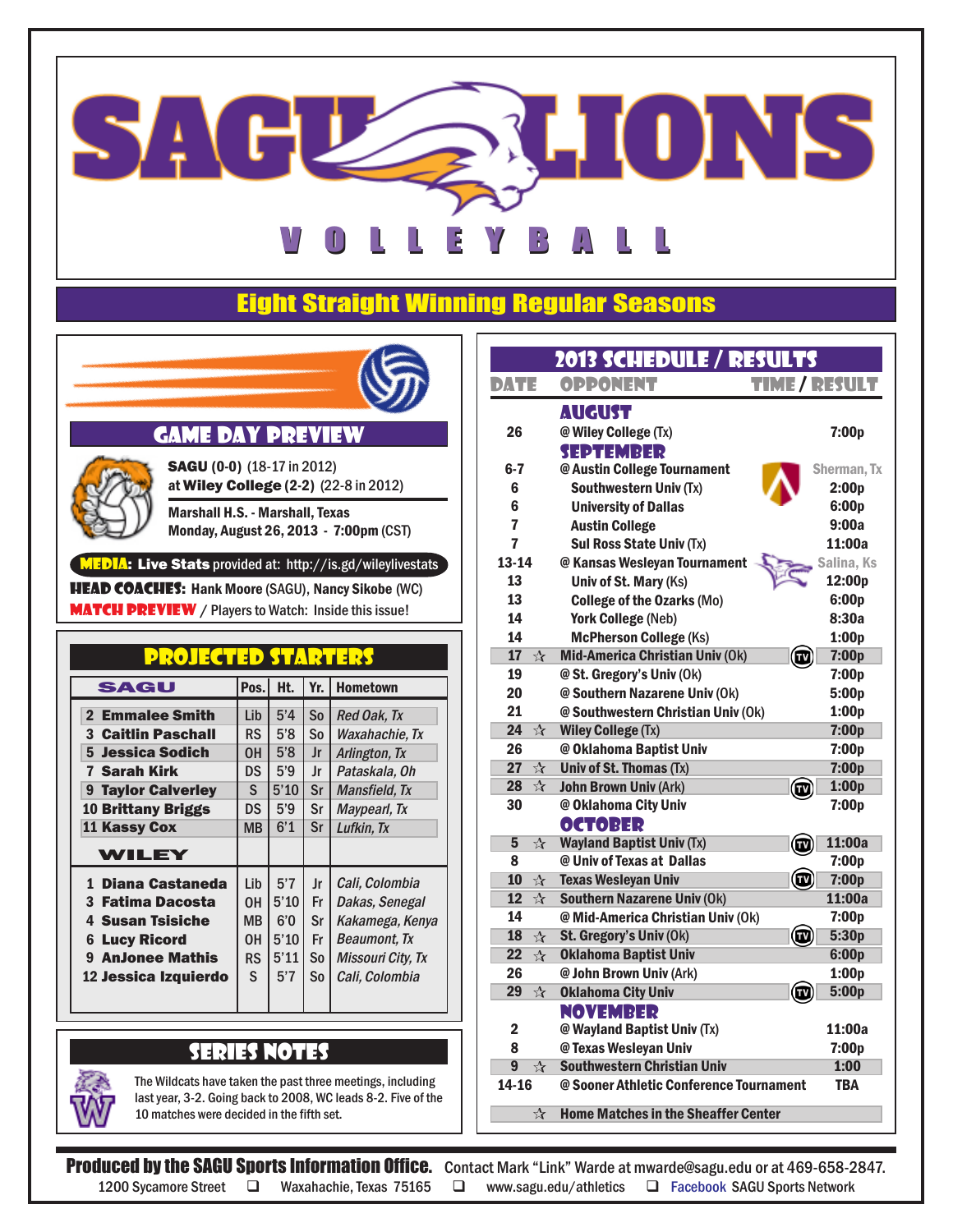

## Eight Straight Winning Regular Seasons



### GAME DAY PREVIEW



SAGU (0-0) (18-17 in 2012) at Wiley College (2-2) (22-8 in 2012) Marshall H.S. - Marshall, Texas

Monday, August 26, 2013 - 7:00pm (CST)

#### MEDIA: Live Stats provided at: http://is.gd/wileylivestats

**HEAD COACHES:** Hank Moore (SAGU), Nancy Sikobe (WC) **MATCH PREVIEW** / Players to Watch: Inside this issue!

### projected starters

| SAGU                         | Pos.      | Ht.  | Yr. | <b>Hometown</b>     |
|------------------------------|-----------|------|-----|---------------------|
| 2 Emmalee Smith              | Lib       | 5'4  | So  | Red Oak, Tx         |
| <b>3 Caitlin Paschall</b>    | RS        | 5'8  | So  | Waxahachie, Tx      |
| 5 Jessica Sodich             | 0H        | 5'8  | Jr  | Arlington, Tx       |
| 7 Sarah Kirk                 | <b>DS</b> | 5'9  | Jr  | Pataskala, Oh       |
| <b>Taylor Calverley</b><br>9 | S.        | 5'10 | Sr  | Mansfield, Tx       |
| <b>10 Brittany Briggs</b>    | DS        | 5'9  | Sr  | Maypearl, Tx        |
| 11 Kassy Cox                 | MВ        | 6'1  | Sr  | Lufkin. Tx          |
| WILEY                        |           |      |     |                     |
| 1 Diana Castaneda            | Lib       | 5'7  | Jr  | Cali, Colombia      |
| 3 Fatima Dacosta             | OН        | 5'10 | Fr  | Dakas, Senegal      |
| <b>4 Susan Tsisiche</b>      | MВ        | 6'0  | Sr  | Kakamega, Kenya     |
| <b>Lucy Ricord</b><br>6      | OН        | 5'10 | Fr  | <b>Beaumont, Tx</b> |
| <b>9 AnJonee Mathis</b>      | RS        | 5'11 | So  | Missouri City, Tx   |
| 12 Jessica Izguierdo         | S.        | 5'7  | So  | Cali, Colombia      |
|                              |           |      |     |                     |

### SERIES NOTES

The Wildcats have taken the past three meetings, including last year, 3-2. Going back to 2008, WC leads 8-2. Five of the 10 matches were decided in the fifth set.

|                            | 2013 SCHEDULE / RESULTS                    |                      |
|----------------------------|--------------------------------------------|----------------------|
| DATE                       | <b>OPPONENT</b>                            | <b>TIME / RESULT</b> |
|                            | <b>AUGUST</b>                              |                      |
| 26                         | @ Wiley College (Tx)                       | 7:00p                |
|                            | <b>SEPTEMBER</b>                           |                      |
| 6-7                        | @ Austin College Tournament                | Sherman, Tx          |
| 6                          | <b>Southwestern Univ (Tx)</b>              | 2:00p                |
| 6                          | <b>University of Dallas</b>                | 6:00p                |
| 7                          | <b>Austin College</b>                      | 9:00a                |
| 7                          | <b>Sul Ross State Univ (Tx)</b>            | 11:00a               |
| $13 - 14$                  | @ Kansas Wesleyan Tournament               | Salina, Ks           |
| 13                         | Univ of St. Mary (Ks)                      | 12:00p               |
| 13                         | <b>College of the Ozarks (Mo)</b>          | 6:00p                |
| 14                         | <b>York College (Neb)</b>                  | 8:30a                |
| 14                         | <b>McPherson College (Ks)</b>              | 1:00p                |
| 17<br>$\frac{1}{\sqrt{2}}$ | Mid-America Christian Univ (Ok)            | 7:00p<br>œ           |
| 19                         | @ St. Gregory's Univ (Ok)                  | 7:00p                |
| 20                         | @ Southern Nazarene Univ (Ok)              | 5:00p                |
| 21                         | @ Southwestern Christian Univ (Ok)         | 1:00p                |
| 24<br>☆                    | <b>Wiley College (Tx)</b>                  | 7:00p                |
| 26                         | @ Oklahoma Baptist Univ                    | 7:00p                |
| 27<br>$\mathbb{R}^+$       | Univ of St. Thomas (Tx)                    | 7:00p                |
| 28<br>$\mathcal{L}$        | <b>John Brown Univ (Ark)</b>               | 1:00p<br>Œ           |
| 30                         | @ Oklahoma City Univ                       | 7:00p                |
|                            | <b>OCTOBER</b>                             |                      |
| 5<br>☆                     | <b>Wayland Baptist Univ (Tx)</b>           | 11:00a<br>(TV        |
| 8                          | @ Univ of Texas at Dallas                  | 7:00p                |
| 10<br>$\mathbb{R}^+$       | <b>Texas Wesleyan Univ</b>                 | 7:00p                |
| 12<br>$\mathbb{R}^+$       | <b>Southern Nazarene Univ (Ok)</b>         | 11:00a               |
| 14                         | @ Mid-America Christian Univ (Ok)          | 7:00p                |
| 18<br>$\frac{1}{\sqrt{2}}$ | St. Gregory's Univ (Ok)                    | 5:30p                |
| 22<br>$\mathcal{L}$        | <b>Oklahoma Baptist Univ</b>               | 6:00p                |
| 26                         | @ John Brown Univ (Ark)                    | 1:00p                |
| 29<br>$\frac{1}{\sqrt{2}}$ | <b>Oklahoma City Univ</b>                  | 5:00p                |
|                            | <b>NOVEMBER</b>                            |                      |
| $\overline{\mathbf{2}}$    | @ Wayland Baptist Univ (Tx)                | 11:00a               |
| 8                          | @ Texas Wesleyan Univ                      | 7:00p                |
| 9<br>☆                     | <b>Southwestern Christian Univ</b>         | 1:00                 |
| 14-16                      | @ Sooner Athletic Conference Tournament    | TBA                  |
| ☆                          | <b>Home Matches in the Sheaffer Center</b> |                      |

Produced by the SAGU Sports Information Office. Contact Mark "Link" Warde at mwarde@sagu.edu or at 469-658-2847. 1200 Sycamore Street  $\Box$  Waxahachie, Texas 75165  $\Box$  www.sagu.edu/athletics  $\Box$  Facebook SAGU Sports Network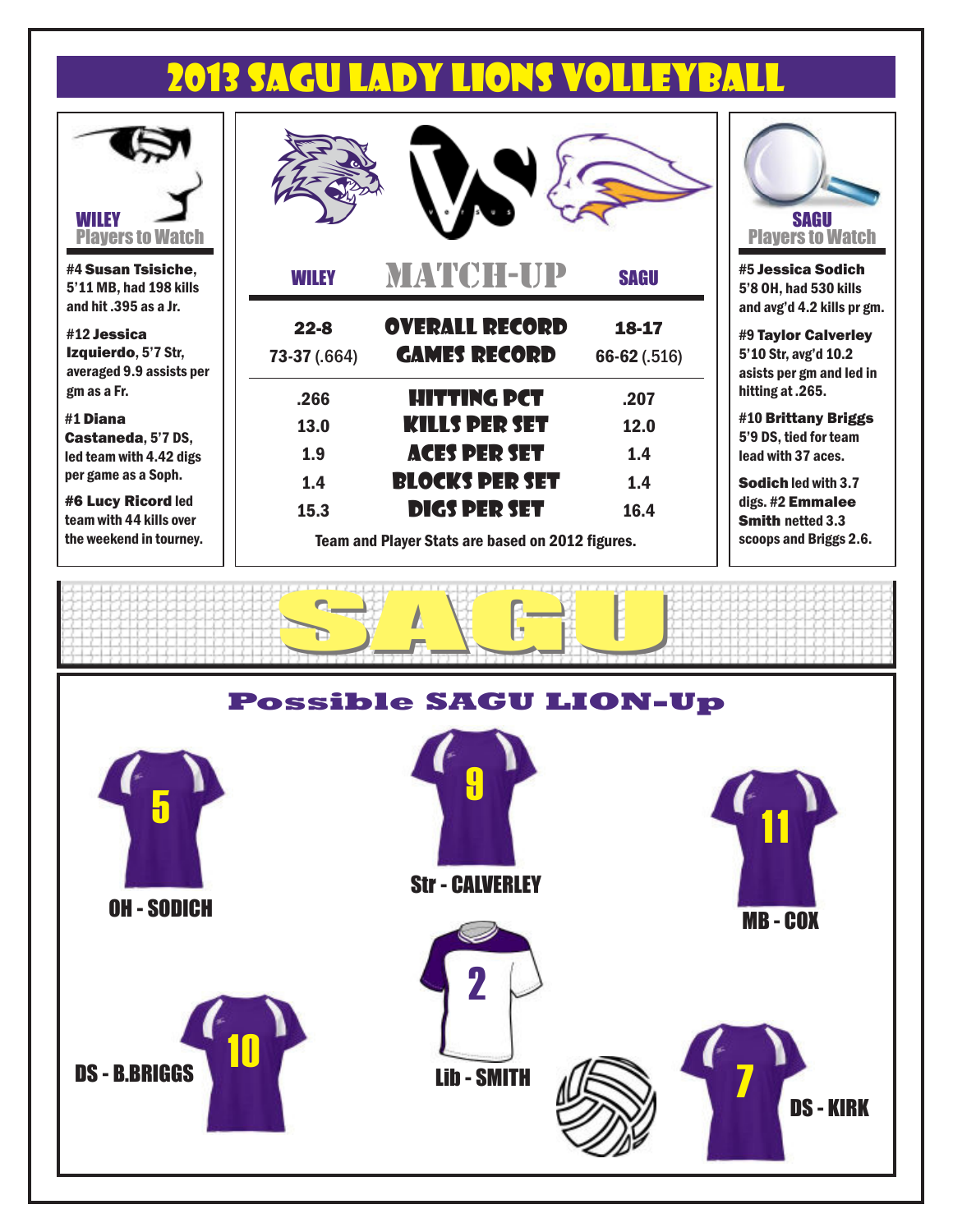# 2013 SAGU LADY LIONS VOLLEYBALL



#4 Susan Tsisiche, 5'11 MB, had 198 kills and hit .395 as a Jr.

#12 Jessica Izquierdo, 5'7 Str, averaged 9.9 assists per gm as a Fr.

#1 Diana Castaneda, 5'7 DS, led team with 4.42 digs per game as a Soph.

#6 Lucy Ricord led team with 44 kills over the weekend in tourney.

| <b>WILEY</b> | <b>MATCH-UP</b>                                  | <b>SAGU</b>  |
|--------------|--------------------------------------------------|--------------|
| $22 - 8$     | <b>OVERALL RECORD</b>                            | 18-17        |
| 73-37 (.664) | <b>GAMES RECORD</b>                              | 66-62 (.516) |
| .266         | HITTING PCT                                      | .207         |
| 13.0         | <b>KILLS DER SET</b>                             | 12.0         |
| 1.9          | <b>ACES PER SET</b>                              | 1.4          |
| 1.4          | <b>BLOCKS PER SET</b>                            | 1.4          |
| 15.3         | <b>DIGS PER SET</b>                              | 16.4         |
|              | Team and Player Stats are based on 2012 figures. |              |



**Jessica Sodich** 8 OH, had 530 kills and avg'd 4.2 kills pr gm.

**Taylor Calverley** 5'10 Str, avg'd 10.2 ists per gm and led in tting at .265.

10 Brittany Briggs 5'9 DS, tied for team ad with 37 aces.

 $odich$  led with  $3.7\,$ gs. #2 **Emmalee** mith netted 3.3 scoops and Briggs 2.6.

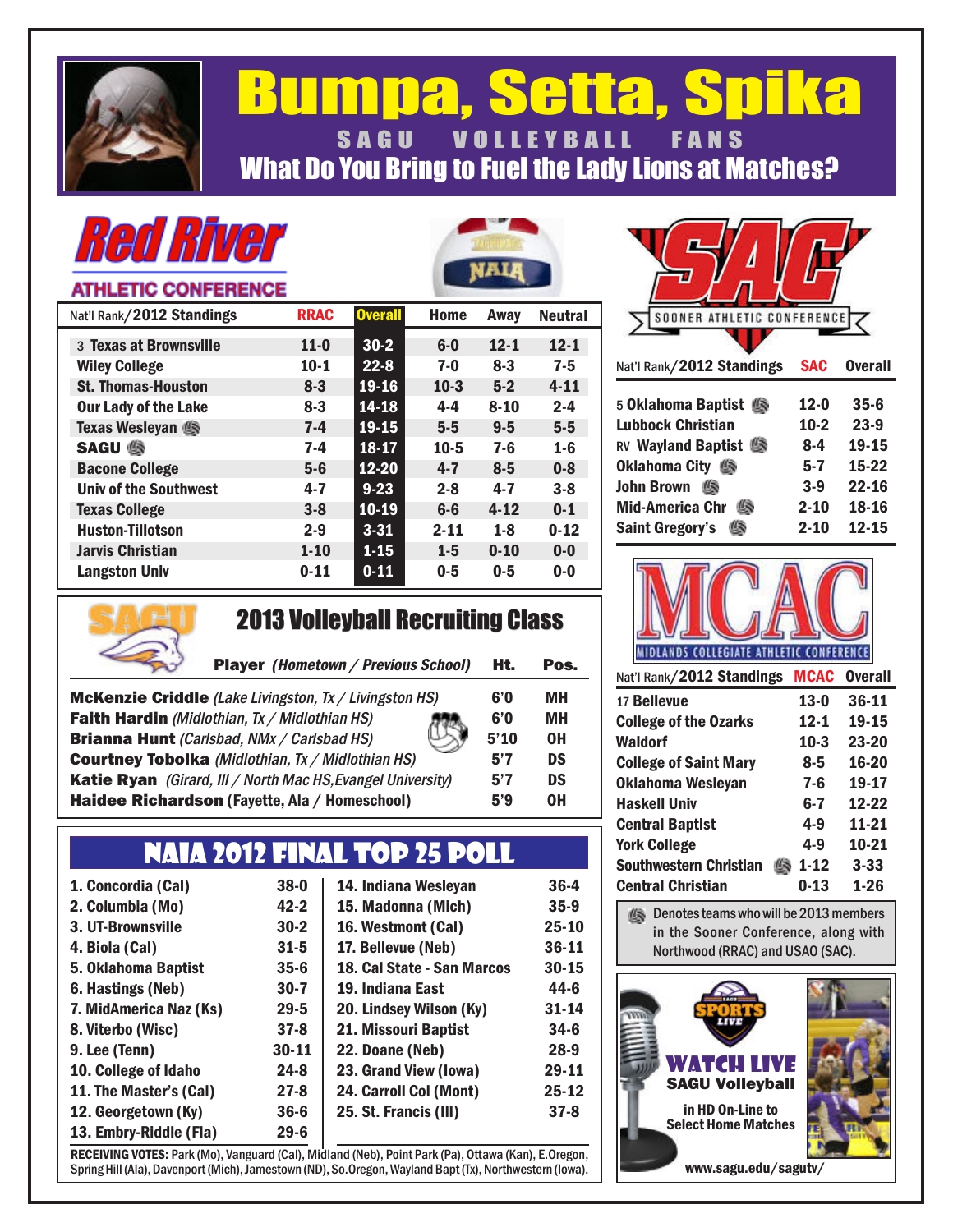

## Bumpa, Setta, Spika SAGU VOLLEYBALL FANS What Do You Bring to Fuel the Lady Lions at Matches?

# *Red River*

### **ATHLETIC CONFERENCE**

| Nat'l Rank/2012 Standings    | <b>RRAC</b> | <b>Overall</b> | <b>Home</b> | Away     | <b>Neutral</b> |  |
|------------------------------|-------------|----------------|-------------|----------|----------------|--|
| 3 Texas at Brownsville       | $11 - 0$    | $30-2$         | $6-0$       | $12 - 1$ | $12 - 1$       |  |
| <b>Wiley College</b>         | $10 - 1$    | $22 - 8$       | $7-0$       | $8 - 3$  | $7 - 5$        |  |
| <b>St. Thomas-Houston</b>    | $8 - 3$     | 19-16          | $10-3$      | $5 - 2$  | $4 - 11$       |  |
| <b>Our Lady of the Lake</b>  | $8 - 3$     | $14 - 18$      | $4 - 4$     | $8 - 10$ | $2 - 4$        |  |
| Texas Wesleyan               | $7 - 4$     | $19 - 15$      | $5 - 5$     | $9 - 5$  | $5-5$          |  |
| <b>SAGU S</b>                | $7-4$       | 18-17          | $10 - 5$    | $7 - 6$  | $1-6$          |  |
| <b>Bacone College</b>        | $5-6$       | $12 - 20$      | $4 - 7$     | $8 - 5$  | $0 - 8$        |  |
| <b>Univ of the Southwest</b> | $4 - 7$     | $9 - 23$       | $2 - 8$     | $4 - 7$  | $3 - 8$        |  |
| <b>Texas College</b>         | $3 - 8$     | 10-19          | $6-6$       | $4 - 12$ | $0-1$          |  |
| <b>Huston-Tillotson</b>      | $2 - 9$     | $3 - 31$       | $2 - 11$    | $1 - 8$  | $0 - 12$       |  |
| <b>Jarvis Christian</b>      | $1 - 10$    | $1 - 15$       | $1 - 5$     | $0 - 10$ | $0-0$          |  |
| <b>Langston Univ</b>         | $0 - 11$    | $0 - 11$       | $0 - 5$     | $0 - 5$  | $0-0$          |  |
|                              |             |                |             |          |                |  |

| SOONER ATHLETIC CONFERENCE  |            |                |
|-----------------------------|------------|----------------|
|                             |            |                |
| Nat'l Rank/2012 Standings   | <b>SAC</b> | <b>Overall</b> |
| 5 Oklahoma Baptist 4        | $12 - 0$   | $35 - 6$       |
| Lubbock Christian           | $10-2$     | $23-9$         |
| <b>RV Wayland Baptist</b> 9 | 8-4        | 19-15          |
| Oklahoma City 9             | $5 - 7$    | 15-22          |
| <b>John Brown</b><br>Œ.     | $3-9$      | $22 - 16$      |
| <b>Mid-America Chr</b>      | $2 - 10$   | 18-16          |
| <b>Saint Gregory's</b>      | $2 - 10$   | $12 - 15$      |



## 2013 Volleyball Recruiting Class 2013 Volleyball Recruiting Class

| <b>Player (Hometown / Previous School)</b>                    | Ht.  | Pos. |
|---------------------------------------------------------------|------|------|
| <b>McKenzie Criddle</b> (Lake Livingston, Tx / Livingston HS) | 6'0  | MН   |
| <b>Faith Hardin</b> (Midlothian, Tx / Midlothian HS)          | 6'0  | MН   |
| <b>Brianna Hunt</b> (Carlsbad, NMx / Carlsbad HS)             | 5'10 | 0H   |
| <b>Courtney Tobolka</b> (Midlothian, Tx / Midlothian HS)      | 5'7  | DS   |
| Katie Ryan (Girard, III / North Mac HS, Evangel University)   | 5'7  | DS   |
| Haidee Richardson (Fayette, Ala / Homeschool)                 | 5'9  | 0H   |

## NAIA 2012 FINAL TOP 25 POLL

| 1. Concordia (Cal)     |
|------------------------|
| 2. Columbia (Mo)       |
| 3. UT-Brownsville      |
| 4. Biola (Cal)         |
| 5. Oklahoma Baptist    |
| 6. Hastings (Neb)      |
|                        |
| 7. MidAmerica Naz (Ks) |
| 8. Viterbo (Wisc)      |
| 9. Lee (Tenn)          |
| 10. College of Idaho   |
| 11. The Master's (Cal) |
| 12. Georgetown (Ky)    |
| 13. Embry-Riddle (Fla) |

| $38-0$    | 14. Indiana Wesleyan       | $36-4$    |
|-----------|----------------------------|-----------|
| $42 - 2$  | 15. Madonna (Mich)         | $35-9$    |
| $30-2$    | 16. Westmont (Cal)         | $25 - 10$ |
| $31 - 5$  | 17. Bellevue (Neb)         | 36-11     |
| $35 - 6$  | 18. Cal State - San Marcos | 30-15     |
| $30-7$    | 19. Indiana East           | 44-6      |
| $29 - 5$  | 20. Lindsey Wilson (Ky)    | $31 - 14$ |
| $37-8$    | 21. Missouri Baptist       | $34-6$    |
| $30 - 11$ | 22. Doane (Neb)            | $28-9$    |
| $24 - 8$  | 23. Grand View (Iowa)      | 29-11     |
| $27 - 8$  | 24. Carroll Col (Mont)     | $25 - 12$ |
| $36 - 6$  | 25. St. Francis (III)      | $37-8$    |
| $29 - 6$  |                            |           |

RECEIVING VOTES: Park (Mo), Vanguard (Cal), Midland (Neb), Point Park (Pa), Ottawa (Kan), E.Oregon, Spring Hill (Ala), Davenport (Mich), Jamestown (ND), So.Oregon, Wayland Bapt (Tx), Northwestern (Iowa).



| Nat'l Rank/2012 Standings          | MCAC     | <b>Overall</b> |
|------------------------------------|----------|----------------|
| 17 Bellevue                        | $13-0$   | 36-11          |
| <b>College of the Ozarks</b>       | $12 - 1$ | 19-15          |
| Waldorf                            | $10-3$   | 23-20          |
| <b>College of Saint Mary</b>       | $8 - 5$  | 16-20          |
| Oklahoma Wesleyan                  | 7-6      | 19-17          |
| <b>Haskell Univ</b>                | հ.7      | 12-22          |
| <b>Central Baptist</b>             | 4.9      | 11-21          |
| <b>York College</b>                | 4.9      | 10-21          |
| <b>Southwestern Christian</b><br>嵠 | $1 - 12$ | $3 - 33$       |
| <b>Central Christian</b>           | $0 - 13$ | $1 - 26$       |

Denotes teams who will be 2013 members in the Sooner Conference, along with Northwood (RRAC) and USAO (SAC).

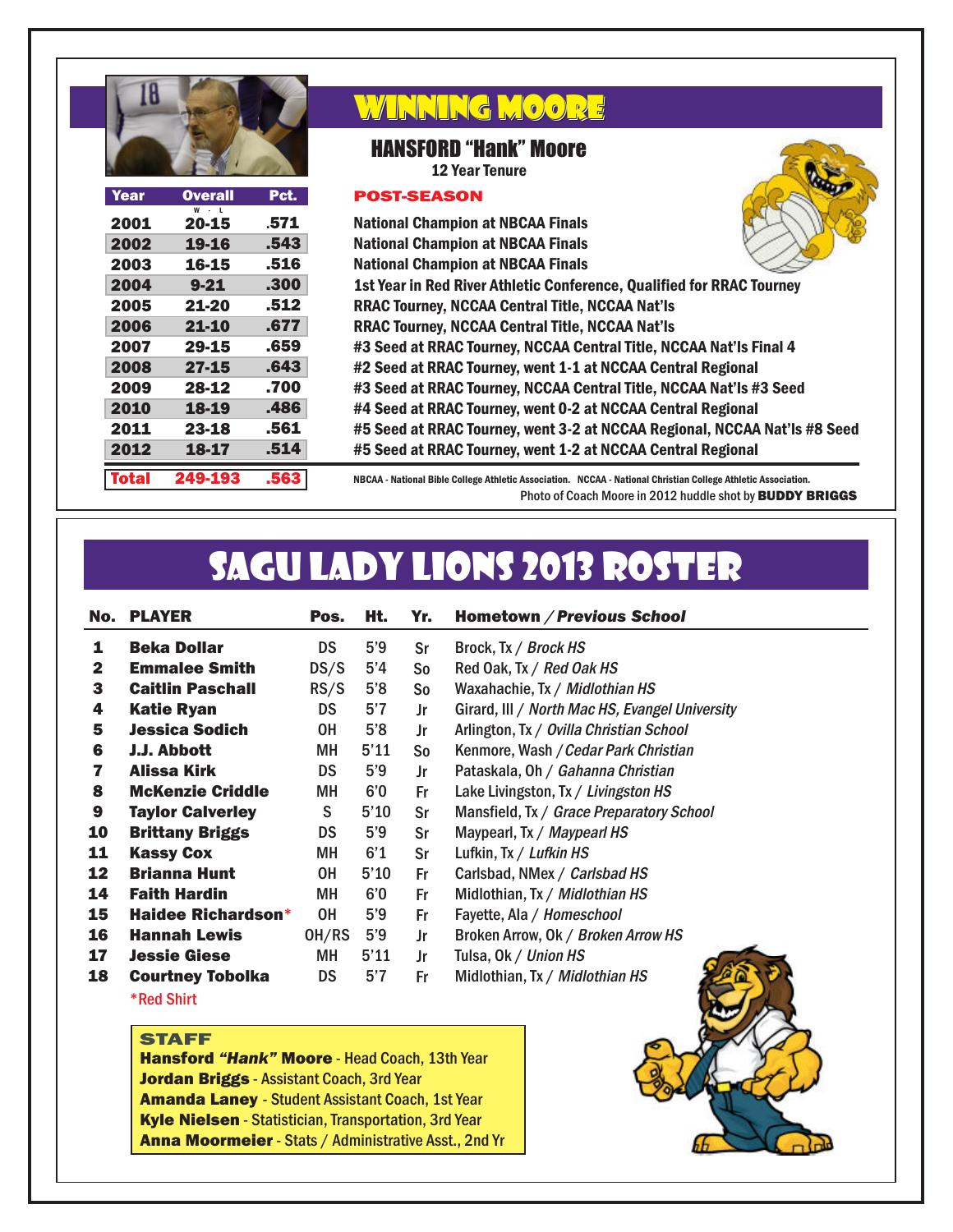

| Year         | <b>Overall</b> | Pct. |
|--------------|----------------|------|
| 2001         | 20-15          | .571 |
| 2002         | 19-16          | .543 |
| 2003         | 16-15          | .516 |
| 2004         | $9 - 21$       | .300 |
| 2005         | 21-20          | .512 |
| 2006         | 21-10          | .677 |
| 2007         | 29-15          | .659 |
| 2008         | 27-15          | .643 |
| 2009         | 28-12          | .700 |
| 2010         | 18-19          | .486 |
| 2011         | 23-18          | .561 |
| 2012         | 18-17          | .514 |
| <b>Total</b> | 249-193        | .563 |

## WINNING MOORE

### HANSFORD "Hank" Moore

12 Year Tenure

National Champion at NBCAA Finals

#### POST-SEASON



1st Year in Red River Athletic Conference, Qualified for RRAC Tourney RRAC Tourney, NCCAA Central Title, NCCAA Nat'ls RRAC Tourney, NCCAA Central Title, NCCAA Nat'ls #3 Seed at RRAC Tourney, NCCAA Central Title, NCCAA Nat'ls Final 4 #2 Seed at RRAC Tourney, went 1-1 at NCCAA Central Regional #3 Seed at RRAC Tourney, NCCAA Central Title, NCCAA Nat'ls #3 Seed #4 Seed at RRAC Tourney, went 0-2 at NCCAA Central Regional #5 Seed at RRAC Tourney, went 3-2 at NCCAA Regional, NCCAA Nat'ls #8 Seed #5 Seed at RRAC Tourney, went 1-2 at NCCAA Central Regional National Champion at NBCAA Finals National Champion at NBCAA Finals

NBCAA - National Bible College Athletic Association. NCCAA - National Christian College Athletic Association. Photo of Coach Moore in 2012 huddle shot by BUDDY BRIGGS

# SAGU LADY LIONS 2013 ROSTER

|              | <b>No. PLAYER</b>         | Pos.      | Ht.  | Yr.            | Hometown / Previous School                     |
|--------------|---------------------------|-----------|------|----------------|------------------------------------------------|
| 1            | <b>Beka Dollar</b>        | <b>DS</b> | 5'9  | Sr             | Brock, Tx / Brock HS                           |
| $\mathbf{2}$ | <b>Emmalee Smith</b>      | DS/S      | 5'4  | S <sub>o</sub> | Red Oak, Tx / Red Oak HS                       |
| 3            | <b>Caitlin Paschall</b>   | RS/S      | 5'8  | S <sub>o</sub> | Waxahachie, Tx / Midlothian HS                 |
| 4            | <b>Katie Ryan</b>         | <b>DS</b> | 5'7  | Jr             | Girard, III / North Mac HS, Evangel University |
| 5            | <b>Jessica Sodich</b>     | 0H        | 5'8  | Jr             | Arlington, Tx / Ovilla Christian School        |
| 6            | J.J. Abbott               | MН        | 5'11 | S <sub>o</sub> | Kenmore, Wash / Cedar Park Christian           |
| 7            | <b>Alissa Kirk</b>        | <b>DS</b> | 5'9  | Jr             | Pataskala, Oh / Gahanna Christian              |
| 8            | <b>McKenzie Criddle</b>   | MН        | 6'0  | Fr             | Lake Livingston, Tx / Livingston HS            |
| 9            | <b>Taylor Calverley</b>   | S         | 5'10 | Sr             | Mansfield, Tx / Grace Preparatory School       |
| 10           | <b>Brittany Briggs</b>    | <b>DS</b> | 5'9  | Sr             | Maypearl, Tx / Maypearl HS                     |
| 11           | <b>Kassy Cox</b>          | MН        | 6'1  | Sr             | Lufkin, Tx / Lufkin HS                         |
| 12           | <b>Brianna Hunt</b>       | 0H        | 5'10 | Fr             | Carlsbad, NMex / Carlsbad HS                   |
| 14           | <b>Faith Hardin</b>       | MН        | 6'0  | Fr             | Midlothian, Tx / Midlothian HS                 |
| 15           | <b>Haidee Richardson*</b> | 0H        | 5'9  | Fr             | Fayette, Ala / Homeschool                      |
| 16           | <b>Hannah Lewis</b>       | OH/RS     | 5'9  | Jr             | Broken Arrow, Ok / Broken Arrow HS             |
| 17           | <b>Jessie Giese</b>       | MН        | 5'11 | Jr             | Tulsa, Ok / Union HS                           |
| 18           | <b>Courtney Tobolka</b>   | <b>DS</b> | 5'7  | Fr             | Midlothian, Tx / Midlothian HS                 |
|              | <b>*Red Shirt</b>         |           |      |                |                                                |

#### STAFF

Hansford *"Hank"* Moore - Head Coach, 13th Year Jordan Briggs - Assistant Coach, 3rd Year **Amanda Laney - Student Assistant Coach, 1st Year** Kyle Nielsen - Statistician, Transportation, 3rd Year Anna Moormeier - Stats / Administrative Asst., 2nd Yr

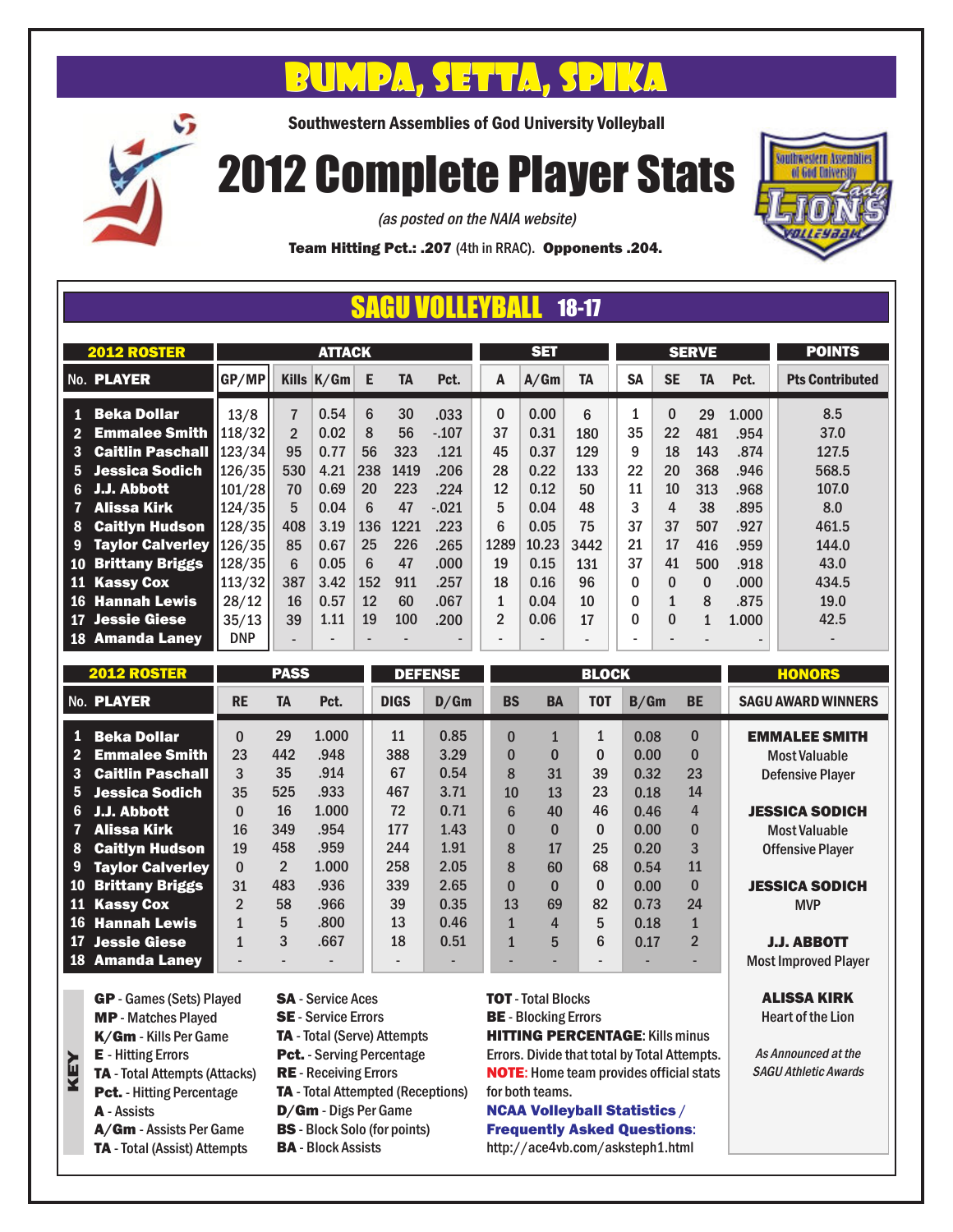# $\mathcal{D}_k$  , signal particle  $\mathcal{D}_k$  , signal particle  $\mathcal{D}_k$

Southwestern Assemblies of God University Volleyball

# 2012 Complete Player Stats



ALISSA KIRK Heart of the Lion

As Announced at the SAGU Athletic Awards

(as posted on the NAIA website)

Team Hitting Pct.: .207 (4th in RRAC). Opponents .204.

## SAGU VOLLEYBALL 18-17

|                | <b>2012 ROSTER</b>                                         |                    |                      | <b>ATTACK</b> |           |             |                 |                          | <b>SET</b>                   |                          |           |                              | <b>SERVE</b>      |                          | <b>POINTS</b>            |
|----------------|------------------------------------------------------------|--------------------|----------------------|---------------|-----------|-------------|-----------------|--------------------------|------------------------------|--------------------------|-----------|------------------------------|-------------------|--------------------------|--------------------------|
|                | No. PLAYER                                                 | GP/MP              |                      | Kills $K/Gm$  | -E        | <b>TA</b>   | Pct.            | A                        | A/Gm                         | <b>TA</b>                | <b>SA</b> | <b>SE</b>                    | <b>TA</b>         | Pct.                     | <b>Pts Contributed</b>   |
|                | 1 Beka Dollar                                              | 13/8               | $\overline{7}$       | 0.54          | 6         | 30          | .033            | $\Omega$                 | 0.00                         | 6                        |           | 0                            | 29                | 1.000                    | 8.5                      |
| 3              | <b>Emmalee Smith</b><br><b>Caitlin Paschall 123/34</b>     | 118/32             | $\overline{2}$<br>95 | 0.02<br>0.77  | 8<br>56   | 56<br>323   | $-.107$<br>.121 | 37<br>45                 | 0.31<br>0.37                 | 180<br>129               | 35<br>9   | 22<br>18                     | 481<br>143        | .954<br>.874             | 37.0<br>127.5            |
| $-6-$          | 5 Jessica Sodich<br>J.J. Abbott                            | 126/35<br>101/28   | 530<br>70            | 4.21<br>0.69  | 238<br>20 | 1419<br>223 | .206<br>.224    | 28<br>12                 | 0.22<br>0.12                 | 133<br>50                | 22<br>11  | 20<br>10                     | 368<br>313        | .946<br>.968             | 568.5<br>107.0           |
| 7<br>8         | Alissa Kirk<br><b>Caitlyn Hudson</b>                       | 124/35 <br> 128/35 | 5<br>408             | 0.04<br>3.19  | 6<br>136  | 47<br>1221  | $-.021$<br>.223 | 5<br>6                   | 0.04<br>0.05                 | 48<br>75                 | 3<br>37   | 4<br>37                      | 38<br>507         | .895<br>.927             | 8.0<br>461.5             |
| 9<br><b>10</b> | <b>Taylor Calverley  126/35 </b><br><b>Brittany Briggs</b> | 128/35             | 85<br>6              | 0.67<br>0.05  | 25<br>6   | 226<br>47   | .265<br>.000.   | 1289<br>19               | 10.23<br>0.15                | 3442<br>131              | 21<br>37  | 17<br>41                     | 416<br>500        | .959<br>.918             | 144.0<br>43.0            |
|                | 11 Kassy Cox                                               | 113/32             | 387                  | 3.42          | 152       | 911         | .257            | 18                       | 0.16                         | 96                       | 0         | 0                            | $\Omega$          | .000                     | 434.5                    |
| 16<br>17       | <b>Hannah Lewis</b><br><b>Jessie Giese</b>                 | 28/12<br>35/13     | 16<br>39             | 0.57<br>1.11  | 12<br>19  | 60<br>100   | .067<br>.200    | 1<br>$\overline{2}$      | 0.04<br>0.06                 | 10<br>17                 | 0<br>0    | $\mathbf{1}$<br>$\mathbf{0}$ | 8<br>$\mathbf{1}$ | .875<br>1.000            | 19.0<br>42.5             |
| 18             | <b>Amanda Laney</b>                                        | <b>DNP</b>         | -                    | -             |           |             |                 | $\overline{\phantom{0}}$ | $\qquad \qquad \blacksquare$ | $\overline{\phantom{a}}$ |           |                              |                   | $\overline{\phantom{0}}$ | $\overline{\phantom{a}}$ |

| <b>2012 ROSTER</b> |                         | <b>PASS</b>    |                |       | <b>DEFENSE</b> |      | <b>BLOCK</b> |              |              |      |                | <b>HONORS</b>               |
|--------------------|-------------------------|----------------|----------------|-------|----------------|------|--------------|--------------|--------------|------|----------------|-----------------------------|
|                    | No. PLAYER              | <b>RE</b>      | <b>TA</b>      | Pct.  | <b>DIGS</b>    | D/Gm | <b>BS</b>    | <b>BA</b>    | <b>TOT</b>   | B/Gm | <b>BE</b>      | <b>SAGU AWARD WINNERS</b>   |
| $\bullet$          | <b>Beka Dollar</b>      | $\mathbf{0}$   | 29             | 1.000 | 11             | 0.85 | $\bf{0}$     | $\mathbf{1}$ | 1            | 0.08 | 0              | <b>EMMALEE SMITH</b>        |
|                    | <b>Emmalee Smith</b>    | 23             | 442            | .948  | 388            | 3.29 | $\bf{0}$     | $\bf{0}$     | $\bf{0}$     | 0.00 | $\mathbf{0}$   | <b>Most Valuable</b>        |
| $\mathbf{3}$       | <b>Caitlin Paschall</b> | 3              | 35             | .914  | 67             | 0.54 | 8            | 31           | 39           | 0.32 | 23             | <b>Defensive Player</b>     |
| 5.                 | Jessica Sodich          | 35             | 525            | .933  | 467            | 3.71 | 10           | 13           | 23           | 0.18 | 14             |                             |
| 6                  | J.J. Abbott             | 0              | 16             | 1.000 | 72             | 0.71 | 6            | 40           | 46           | 0.46 | 4              | <b>JESSICA SODICH</b>       |
| $\mathbf{7}$       | Alissa Kirk             | 16             | 349            | .954  | 177            | 1.43 | $\bf{0}$     | $\bf{0}$     | $\Omega$     | 0.00 | $\bf{0}$       | <b>Most Valuable</b>        |
| 8                  | <b>Caitlyn Hudson</b>   | 19             | 458            | .959  | 244            | 1.91 | 8            | 17           | 25           | 0.20 | 3              | <b>Offensive Player</b>     |
| 9                  | <b>Taylor Calverley</b> | $\Omega$       | $\overline{2}$ | 1.000 | 258            | 2.05 | 8            | 60           | 68           | 0.54 | 11             |                             |
| 10                 | <b>Brittany Briggs</b>  | 31             | 483            | .936  | 339            | 2.65 | $\bf{0}$     | $\mathbf{0}$ | $\mathbf{0}$ | 0.00 | $\mathbf{0}$   | <b>JESSICA SODICH</b>       |
|                    | 11 Kassy Cox            | $\overline{2}$ | 58             | .966  | 39             | 0.35 | 13           | 69           | 82           | 0.73 | 24             | <b>MVP</b>                  |
|                    | 16 Hannah Lewis         |                | 5              | .800  | 13             | 0.46 | 1            | 4            | 5            | 0.18 |                |                             |
|                    | 17 Jessie Giese         |                | 3              | .667  | 18             | 0.51 | $\mathbf{1}$ | 5            | 6            | 0.17 | $\overline{2}$ | <b>J.J. ABBOTT</b>          |
|                    | 18 Amanda Laney         |                |                |       |                |      |              |              |              |      |                | <b>Most Improved Player</b> |

GP - Games (Sets) Played MP - Matches Played K/Gm - Kills Per Game E - Hitting Errors TA - Total Attempts (Attacks) Pct. - Hitting Percentage A - Assists A/Gm - Assists Per Game

KEY

- TA Total (Assist) Attempts
- SA Service Aces
- SE Service Errors
- TA Total (Serve) Attempts Pct. - Serving Percentage
- RE Receiving Errors
- TA Total Attempted (Receptions)
- D/Gm Digs Per Game
- BS Block Solo (for points)
- BA Block Assists

TOT - Total Blocks

**BE** - Blocking Errors

HITTING PERCENTAGE: Kills minus Errors. Divide that total by Total Attempts. NOTE: Home team provides official stats for both teams.

### NCAA Volleyball Statistics / Frequently Asked Questions:

http://ace4vb.com/asksteph1.html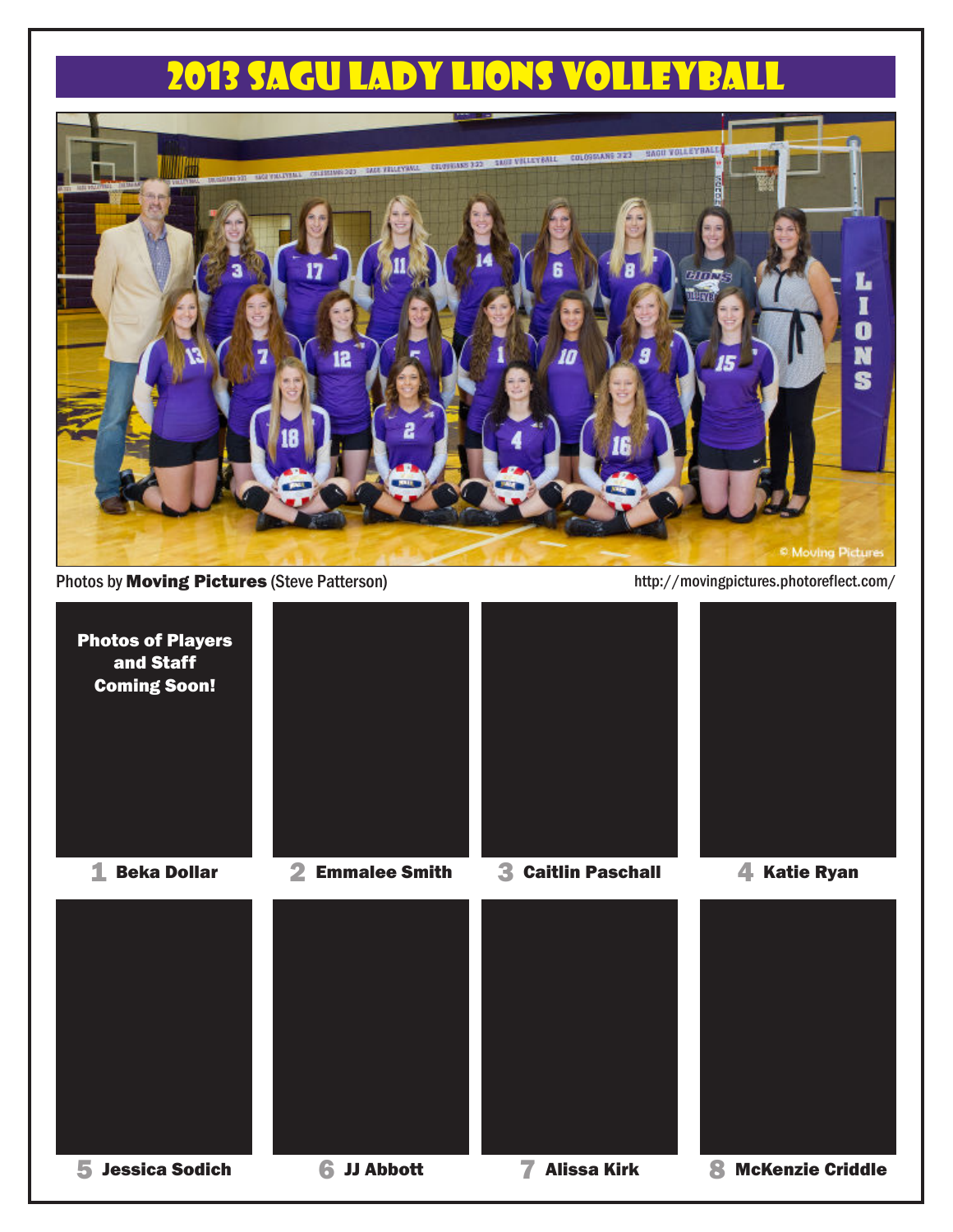## 2013 SAGU LADY LIONS VOLLEYBA



Photos by **Moving Pictures** (Steve Patterson) http://movingpictures.photoreflect.com/

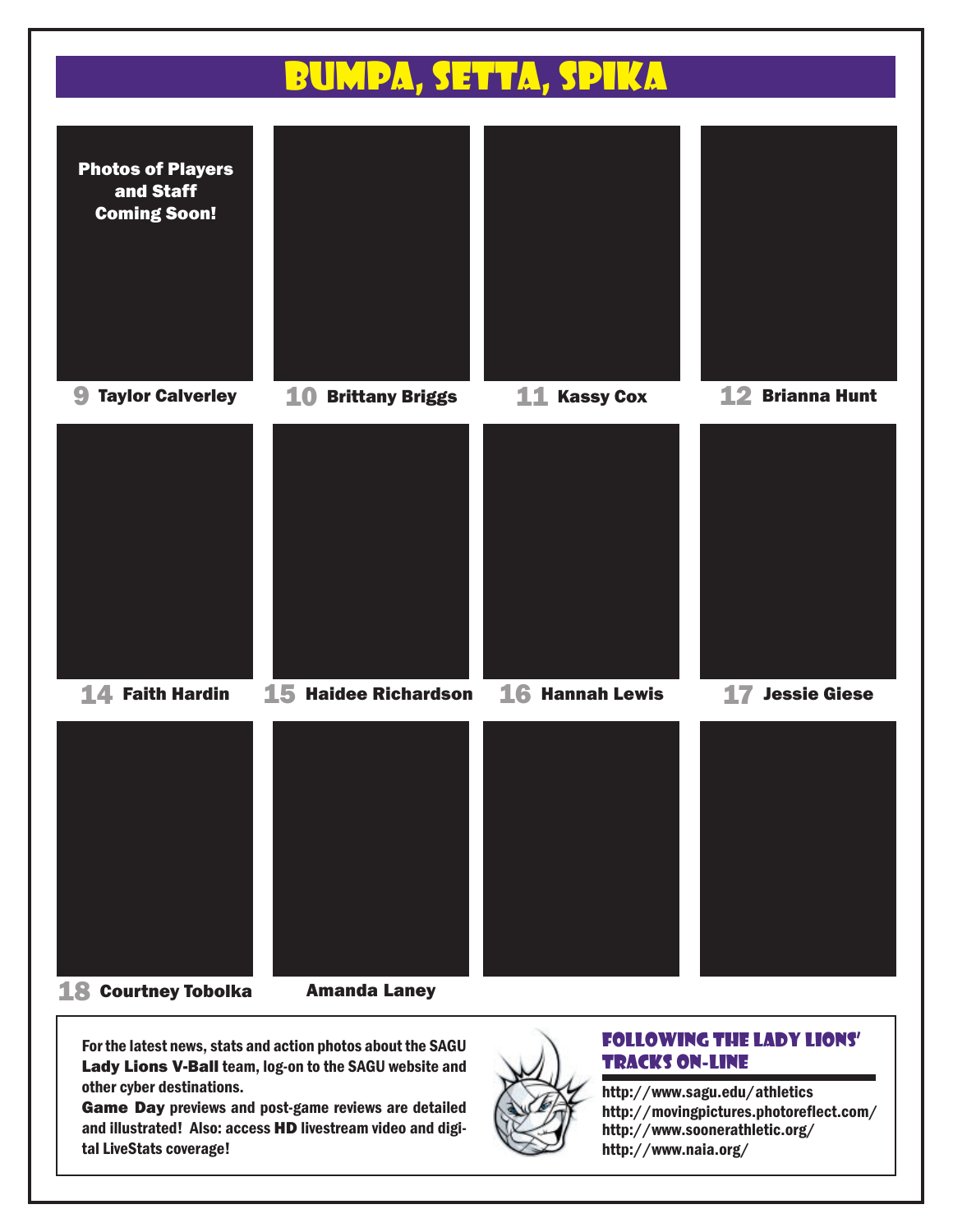

- 18 Courtney Tobolka
- Amanda Laney

For the latest news, stats and action photos about the SAGU Lady Lions V-Ball team, log-on to the SAGU website and other cyber destinations.

Game Day previews and post-game reviews are detailed and illustrated! Also: access HD livestream video and digital LiveStats coverage!



#### Following the Lady Lions' Tracks On-Line

http://www.soonerathletic.org/ http://www.sagu.edu/athletics http://www.naia.org/ http://movingpictures.photoreflect.com/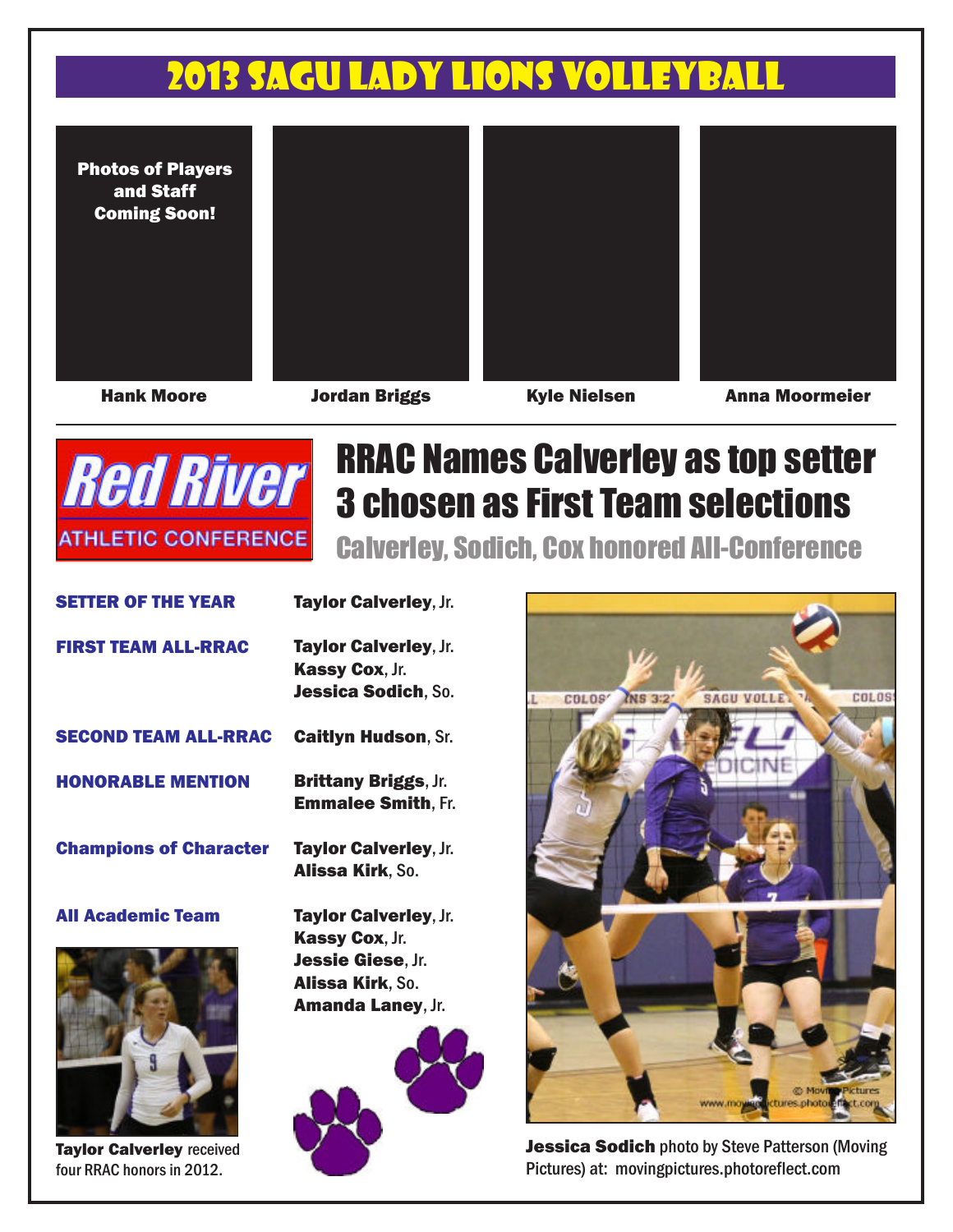## 2013 SAGULADY LIONS VOLLE

Photos of Players and Staff Coming Soon!







Taylor Calverley received four RRAC honors in 2012.

Hank Moore Jordan Briggs Kyle Nielsen Anna Moormeier



# RRAC Names Calverley as top setter 3 chosen as First Team selections

Calverley, Sodich, Cox honored All-Conference

| <b>SETTER OF THE YEAR</b>     | Taylor Calverley, Jr.                                    |
|-------------------------------|----------------------------------------------------------|
| <b>FIRST TEAM ALL-RRAC</b>    | Taylor Calverley, Jr.                                    |
|                               | Kassy Cox, Jr.<br>Jessica Sodich, So.                    |
| <b>SECOND TEAM ALL-RRAC</b>   | <b>Caitlyn Hudson, Sr.</b>                               |
| <b>HONORABLE MENTION</b>      | <b>Brittany Briggs, Jr.</b><br><b>Emmalee Smith, Fr.</b> |
| <b>Champions of Character</b> | Taylor Calverley, Jr.<br><b>Alissa Kirk, So.</b>         |
| <b>All Academic Team</b>      | Taylor Calverley, Jr.                                    |
|                               | Kassy Cox, Jr.                                           |
|                               | Jessie Giese, Jr.                                        |
|                               | <b>Alissa Kirk, So.</b>                                  |
|                               | <b>Amanda Laney, Jr.</b>                                 |
|                               |                                                          |





**Jessica Sodich photo by Steve Patterson (Moving** Pictures) at: movingpictures.photoreflect.com